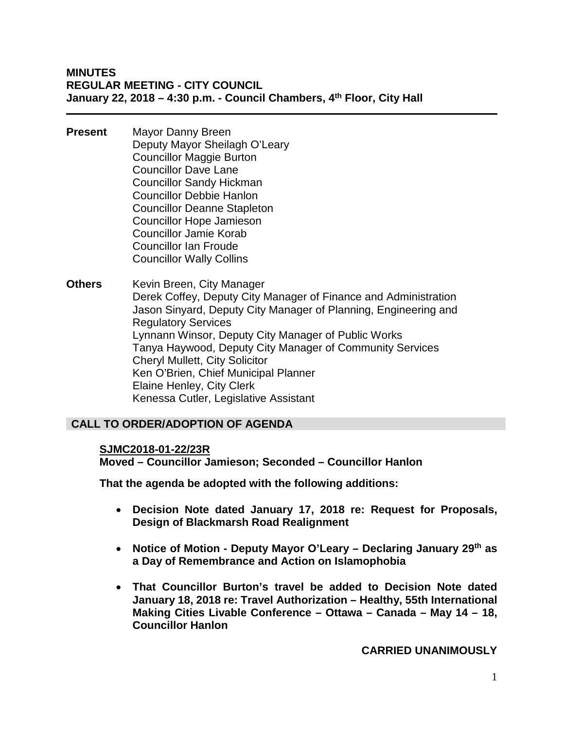#### **MINUTES REGULAR MEETING - CITY COUNCIL January 22, 2018 – 4:30 p.m. - Council Chambers, 4th Floor, City Hall**

- **Present** Mayor Danny Breen Deputy Mayor Sheilagh O'Leary Councillor Maggie Burton Councillor Dave Lane Councillor Sandy Hickman Councillor Debbie Hanlon Councillor Deanne Stapleton Councillor Hope Jamieson Councillor Jamie Korab Councillor Ian Froude Councillor Wally Collins
- **Others** Kevin Breen, City Manager Derek Coffey, Deputy City Manager of Finance and Administration Jason Sinyard, Deputy City Manager of Planning, Engineering and Regulatory Services Lynnann Winsor, Deputy City Manager of Public Works Tanya Haywood, Deputy City Manager of Community Services Cheryl Mullett, City Solicitor Ken O'Brien, Chief Municipal Planner Elaine Henley, City Clerk Kenessa Cutler, Legislative Assistant

## **CALL TO ORDER/ADOPTION OF AGENDA**

#### **SJMC2018-01-22/23R**

**Moved – Councillor Jamieson; Seconded – Councillor Hanlon**

**That the agenda be adopted with the following additions:** 

- **Decision Note dated January 17, 2018 re: Request for Proposals, Design of Blackmarsh Road Realignment**
- **Notice of Motion - Deputy Mayor O'Leary – Declaring January 29th as a Day of Remembrance and Action on Islamophobia**
- **That Councillor Burton's travel be added to Decision Note dated January 18, 2018 re: Travel Authorization – Healthy, 55th International Making Cities Livable Conference – Ottawa – Canada – May 14 – 18, Councillor Hanlon**

**CARRIED UNANIMOUSLY**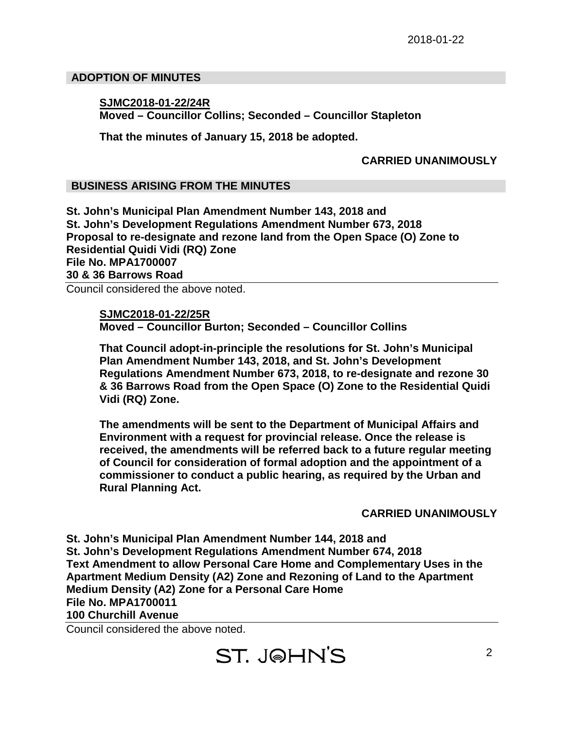## **ADOPTION OF MINUTES**

## **SJMC2018-01-22/24R Moved – Councillor Collins; Seconded – Councillor Stapleton**

**That the minutes of January 15, 2018 be adopted.**

## **CARRIED UNANIMOUSLY**

## **BUSINESS ARISING FROM THE MINUTES**

**St. John's Municipal Plan Amendment Number 143, 2018 and St. John's Development Regulations Amendment Number 673, 2018 Proposal to re-designate and rezone land from the Open Space (O) Zone to Residential Quidi Vidi (RQ) Zone File No. MPA1700007 30 & 36 Barrows Road**

Council considered the above noted.

**SJMC2018-01-22/25R Moved – Councillor Burton; Seconded – Councillor Collins**

**That Council adopt-in-principle the resolutions for St. John's Municipal Plan Amendment Number 143, 2018, and St. John's Development Regulations Amendment Number 673, 2018, to re-designate and rezone 30 & 36 Barrows Road from the Open Space (O) Zone to the Residential Quidi Vidi (RQ) Zone.**

**The amendments will be sent to the Department of Municipal Affairs and Environment with a request for provincial release. Once the release is received, the amendments will be referred back to a future regular meeting of Council for consideration of formal adoption and the appointment of a commissioner to conduct a public hearing, as required by the Urban and Rural Planning Act.**

**CARRIED UNANIMOUSLY**

**St. John's Municipal Plan Amendment Number 144, 2018 and St. John's Development Regulations Amendment Number 674, 2018 Text Amendment to allow Personal Care Home and Complementary Uses in the Apartment Medium Density (A2) Zone and Rezoning of Land to the Apartment Medium Density (A2) Zone for a Personal Care Home File No. MPA1700011 100 Churchill Avenue**

Council considered the above noted.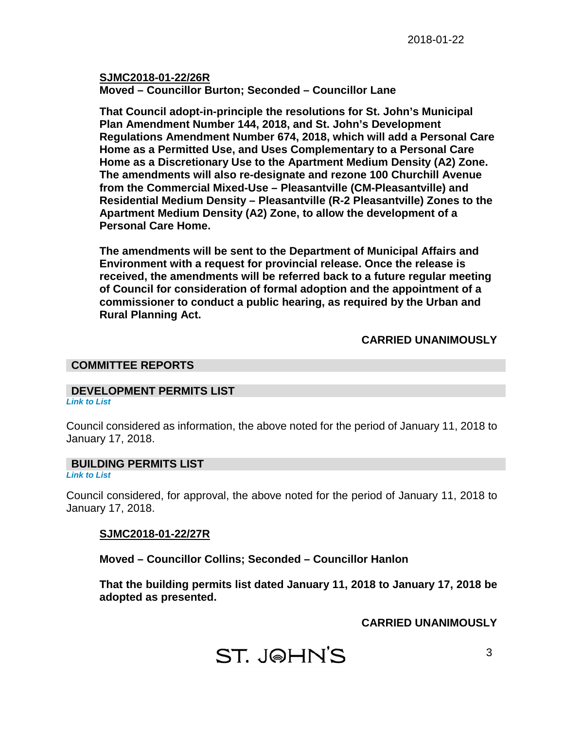**SJMC2018-01-22/26R Moved – Councillor Burton; Seconded – Councillor Lane**

**That Council adopt-in-principle the resolutions for St. John's Municipal Plan Amendment Number 144, 2018, and St. John's Development Regulations Amendment Number 674, 2018, which will add a Personal Care Home as a Permitted Use, and Uses Complementary to a Personal Care Home as a Discretionary Use to the Apartment Medium Density (A2) Zone. The amendments will also re-designate and rezone 100 Churchill Avenue from the Commercial Mixed-Use – Pleasantville (CM-Pleasantville) and Residential Medium Density – Pleasantville (R-2 Pleasantville) Zones to the Apartment Medium Density (A2) Zone, to allow the development of a Personal Care Home.**

**The amendments will be sent to the Department of Municipal Affairs and Environment with a request for provincial release. Once the release is received, the amendments will be referred back to a future regular meeting of Council for consideration of formal adoption and the appointment of a commissioner to conduct a public hearing, as required by the Urban and Rural Planning Act.**

## **CARRIED UNANIMOUSLY**

#### **COMMITTEE REPORTS**

## **DEVELOPMENT PERMITS LIST**

*[Link to List](#page-7-0)*

Council considered as information, the above noted for the period of January 11, 2018 to January 17, 2018.

## **BUILDING PERMITS LIST**

*[Link to List](#page-8-0)*

Council considered, for approval, the above noted for the period of January 11, 2018 to January 17, 2018.

## **SJMC2018-01-22/27R**

**Moved – Councillor Collins; Seconded – Councillor Hanlon**

**That the building permits list dated January 11, 2018 to January 17, 2018 be adopted as presented.**

**CARRIED UNANIMOUSLY**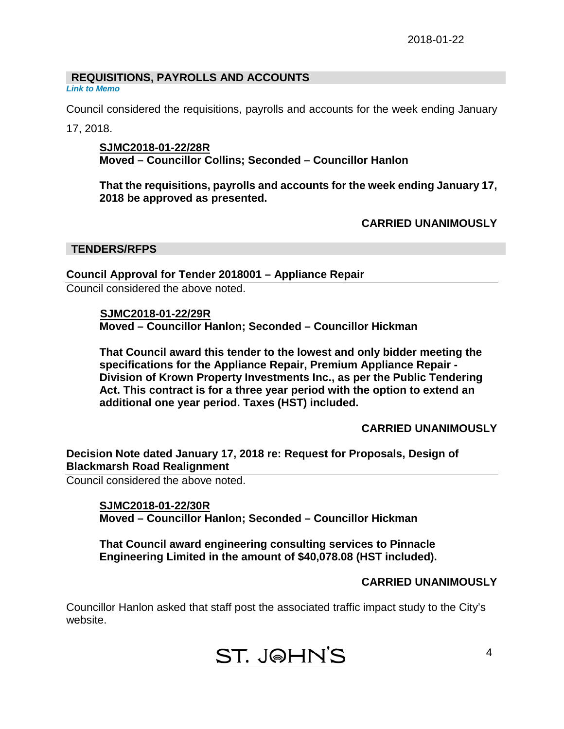## **REQUISITIONS, PAYROLLS AND ACCOUNTS**

*[Link to Memo](#page-10-0)*

Council considered the requisitions, payrolls and accounts for the week ending January 17, 2018.

**SJMC2018-01-22/28R Moved – Councillor Collins; Seconded – Councillor Hanlon**

**That the requisitions, payrolls and accounts for the week ending January 17, 2018 be approved as presented.**

**CARRIED UNANIMOUSLY**

#### **TENDERS/RFPS**

## **Council Approval for Tender 2018001 – Appliance Repair**

Council considered the above noted.

**SJMC2018-01-22/29R**

**Moved – Councillor Hanlon; Seconded – Councillor Hickman**

**That Council award this tender to the lowest and only bidder meeting the specifications for the Appliance Repair, Premium Appliance Repair - Division of Krown Property Investments Inc., as per the Public Tendering Act. This contract is for a three year period with the option to extend an additional one year period. Taxes (HST) included.**

**CARRIED UNANIMOUSLY**

**Decision Note dated January 17, 2018 re: Request for Proposals, Design of Blackmarsh Road Realignment**

Council considered the above noted.

**SJMC2018-01-22/30R Moved – Councillor Hanlon; Seconded – Councillor Hickman** 

**That Council award engineering consulting services to Pinnacle Engineering Limited in the amount of \$40,078.08 (HST included).** 

# **CARRIED UNANIMOUSLY**

Councillor Hanlon asked that staff post the associated traffic impact study to the City's website.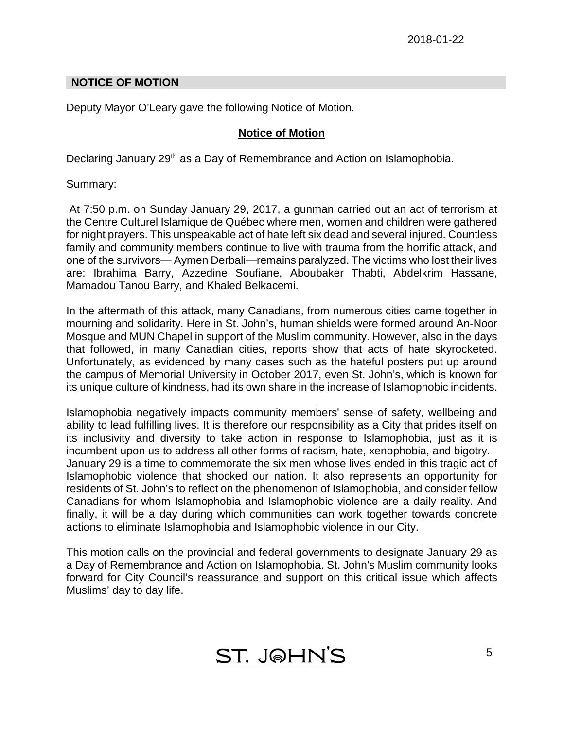## **NOTICE OF MOTION**

Deputy Mayor O'Leary gave the following Notice of Motion.

## **Notice of Motion**

Declaring January 29<sup>th</sup> as a Day of Remembrance and Action on Islamophobia.

Summary:

At 7:50 p.m. on Sunday January 29, 2017, a gunman carried out an act of terrorism at the Centre Culturel Islamique de Québec where men, women and children were gathered for night prayers. This unspeakable act of hate left six dead and several injured. Countless family and community members continue to live with trauma from the horrific attack, and one of the survivors— Aymen Derbali—remains paralyzed. The victims who lost their lives are: Ibrahima Barry, Azzedine Soufiane, Aboubaker Thabti, Abdelkrim Hassane, Mamadou Tanou Barry, and Khaled Belkacemi.

In the aftermath of this attack, many Canadians, from numerous cities came together in mourning and solidarity. Here in St. John's, human shields were formed around An-Noor Mosque and MUN Chapel in support of the Muslim community. However, also in the days that followed, in many Canadian cities, reports show that acts of hate skyrocketed. Unfortunately, as evidenced by many cases such as the hateful posters put up around the campus of Memorial University in October 2017, even St. John's, which is known for its unique culture of kindness, had its own share in the increase of Islamophobic incidents.

Islamophobia negatively impacts community members' sense of safety, wellbeing and ability to lead fulfilling lives. It is therefore our responsibility as a City that prides itself on its inclusivity and diversity to take action in response to Islamophobia, just as it is incumbent upon us to address all other forms of racism, hate, xenophobia, and bigotry. January 29 is a time to commemorate the six men whose lives ended in this tragic act of Islamophobic violence that shocked our nation. It also represents an opportunity for residents of St. John's to reflect on the phenomenon of Islamophobia, and consider fellow Canadians for whom Islamophobia and Islamophobic violence are a daily reality. And finally, it will be a day during which communities can work together towards concrete actions to eliminate Islamophobia and Islamophobic violence in our City.

This motion calls on the provincial and federal governments to designate January 29 as a Day of Remembrance and Action on Islamophobia. St. John's Muslim community looks forward for City Council's reassurance and support on this critical issue which affects Muslims' day to day life.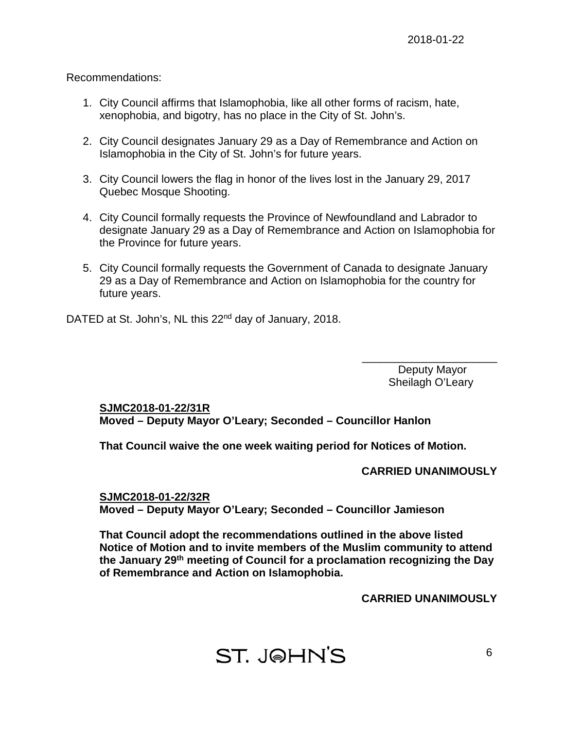Recommendations:

- 1. City Council affirms that Islamophobia, like all other forms of racism, hate, xenophobia, and bigotry, has no place in the City of St. John's.
- 2. City Council designates January 29 as a Day of Remembrance and Action on Islamophobia in the City of St. John's for future years.
- 3. City Council lowers the flag in honor of the lives lost in the January 29, 2017 Quebec Mosque Shooting.
- 4. City Council formally requests the Province of Newfoundland and Labrador to designate January 29 as a Day of Remembrance and Action on Islamophobia for the Province for future years.
- 5. City Council formally requests the Government of Canada to designate January 29 as a Day of Remembrance and Action on Islamophobia for the country for future years.

DATED at St. John's, NL this 22<sup>nd</sup> day of January, 2018.

Deputy Mayor Sheilagh O'Leary

\_\_\_\_\_\_\_\_\_\_\_\_\_\_\_\_\_\_\_\_\_\_

# **SJMC2018-01-22/31R**

**Moved – Deputy Mayor O'Leary; Seconded – Councillor Hanlon**

**That Council waive the one week waiting period for Notices of Motion.**

## **CARRIED UNANIMOUSLY**

**SJMC2018-01-22/32R Moved – Deputy Mayor O'Leary; Seconded – Councillor Jamieson**

**That Council adopt the recommendations outlined in the above listed Notice of Motion and to invite members of the Muslim community to attend the January 29th meeting of Council for a proclamation recognizing the Day of Remembrance and Action on Islamophobia.**

**CARRIED UNANIMOUSLY**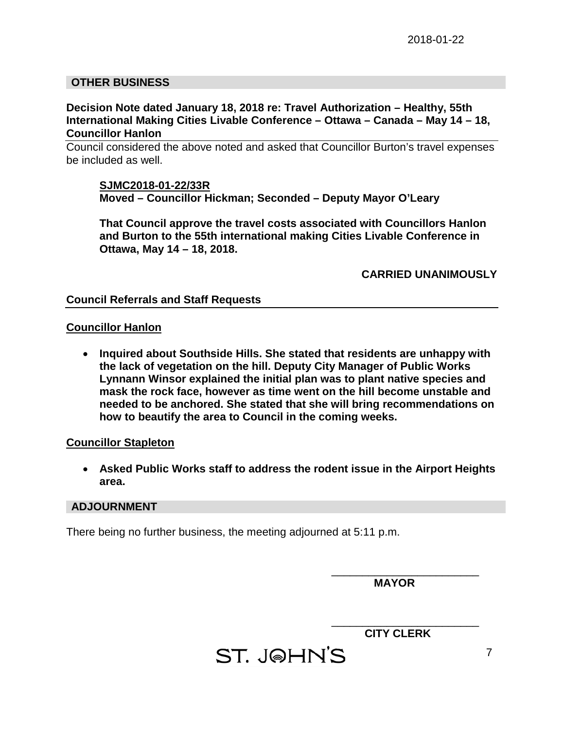## **OTHER BUSINESS**

#### **Decision Note dated January 18, 2018 re: Travel Authorization – Healthy, 55th International Making Cities Livable Conference – Ottawa – Canada – May 14 – 18, Councillor Hanlon**

Council considered the above noted and asked that Councillor Burton's travel expenses be included as well.

#### **SJMC2018-01-22/33R**

**Moved – Councillor Hickman; Seconded – Deputy Mayor O'Leary**

**That Council approve the travel costs associated with Councillors Hanlon and Burton to the 55th international making Cities Livable Conference in Ottawa, May 14 – 18, 2018.**

**CARRIED UNANIMOUSLY**

#### **Council Referrals and Staff Requests**

#### **Councillor Hanlon**

• **Inquired about Southside Hills. She stated that residents are unhappy with the lack of vegetation on the hill. Deputy City Manager of Public Works Lynnann Winsor explained the initial plan was to plant native species and mask the rock face, however as time went on the hill become unstable and needed to be anchored. She stated that she will bring recommendations on how to beautify the area to Council in the coming weeks.** 

#### **Councillor Stapleton**

• **Asked Public Works staff to address the rodent issue in the Airport Heights area.** 

#### **ADJOURNMENT**

There being no further business, the meeting adjourned at 5:11 p.m.

 **MAYOR**

\_\_\_\_\_\_\_\_\_\_\_\_\_\_\_\_\_\_\_\_\_\_\_\_

\_\_\_\_\_\_\_\_\_\_\_\_\_\_\_\_\_\_\_\_\_\_\_\_ **CITY CLERK**

ST. J@HN'S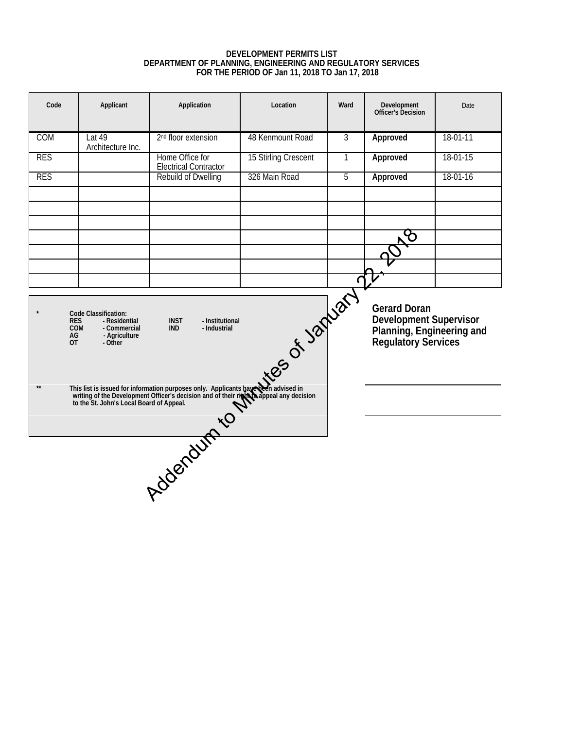#### **DEVELOPMENT PERMITS LIST DEPARTMENT OF PLANNING, ENGINEERING AND REGULATORY SERVICES FOR THE PERIOD OF Jan 11, 2018 TO Jan 17, 2018**

<span id="page-7-0"></span>

| Code                                                                                                                                                                                                          | Applicant                   | Application                                                                                                                                                                                                             | Location             | Ward           | Development<br>Officer's Decision                                                                        | Date     |
|---------------------------------------------------------------------------------------------------------------------------------------------------------------------------------------------------------------|-----------------------------|-------------------------------------------------------------------------------------------------------------------------------------------------------------------------------------------------------------------------|----------------------|----------------|----------------------------------------------------------------------------------------------------------|----------|
| COM                                                                                                                                                                                                           | Lat 49<br>Architecture Inc. | 2 <sup>nd</sup> floor extension                                                                                                                                                                                         | 48 Kenmount Road     | $\overline{3}$ | Approved                                                                                                 | 18-01-11 |
| <b>RES</b>                                                                                                                                                                                                    |                             | Home Office for<br><b>Electrical Contractor</b>                                                                                                                                                                         | 15 Stirling Crescent | $\overline{1}$ | Approved                                                                                                 | 18-01-15 |
| <b>RES</b>                                                                                                                                                                                                    |                             | Rebuild of Dwelling                                                                                                                                                                                                     | 326 Main Road        | $\overline{5}$ | Approved                                                                                                 | 18-01-16 |
|                                                                                                                                                                                                               |                             |                                                                                                                                                                                                                         |                      |                |                                                                                                          |          |
|                                                                                                                                                                                                               |                             |                                                                                                                                                                                                                         |                      |                |                                                                                                          |          |
|                                                                                                                                                                                                               |                             |                                                                                                                                                                                                                         |                      |                |                                                                                                          |          |
|                                                                                                                                                                                                               |                             |                                                                                                                                                                                                                         |                      |                |                                                                                                          |          |
|                                                                                                                                                                                                               |                             |                                                                                                                                                                                                                         |                      |                |                                                                                                          |          |
| Likes of January<br>Code Classification:<br><b>INST</b><br>- Institutional<br><b>RES</b><br>- Residential<br>COM<br>- Commercial<br><b>IND</b><br>- Industrial<br>AG<br>- Agriculture<br><b>OT</b><br>- Other |                             |                                                                                                                                                                                                                         |                      |                | <b>Gerard Doran</b><br><b>Development Supervisor</b><br>Planning, Engineering and<br>Regulatory Services |          |
|                                                                                                                                                                                                               |                             | This list is issued for information purposes only. Applicants have then advised in<br>writing of the Development Officer's decision and of their right Cappeal any decision<br>to the St. John's Local Board of Appeal. |                      |                |                                                                                                          |          |
|                                                                                                                                                                                                               |                             |                                                                                                                                                                                                                         |                      |                |                                                                                                          |          |
|                                                                                                                                                                                                               |                             |                                                                                                                                                                                                                         |                      |                |                                                                                                          |          |
|                                                                                                                                                                                                               |                             |                                                                                                                                                                                                                         |                      |                |                                                                                                          |          |
|                                                                                                                                                                                                               |                             |                                                                                                                                                                                                                         |                      |                |                                                                                                          |          |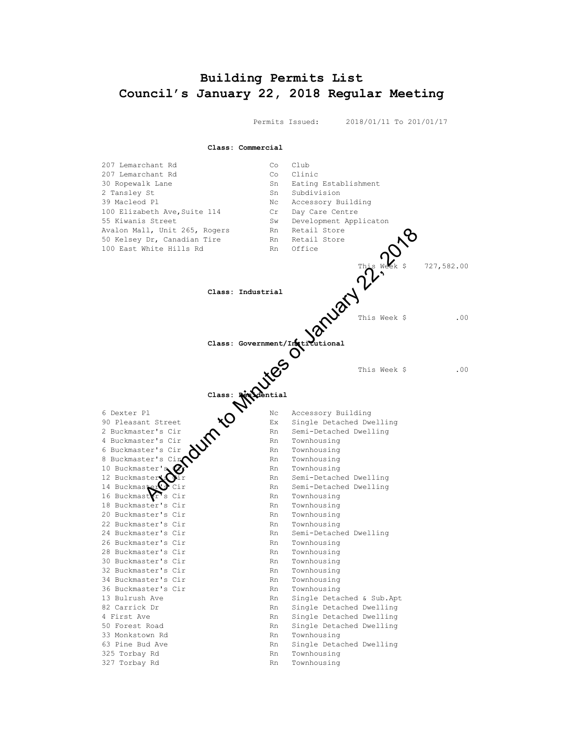# <span id="page-8-0"></span>**Building Permits List Council's January 22, 2018 Regular Meeting**

Permits Issued: 2018/01/11 To 201/01/17

**Class: Commercial**

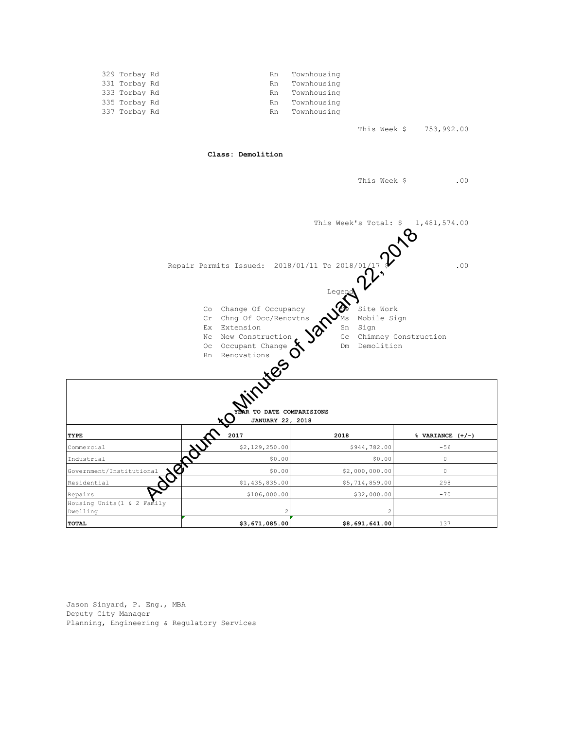

Jason Sinyard, P. Eng., MBA Deputy City Manager Planning, Engineering & Regulatory Services